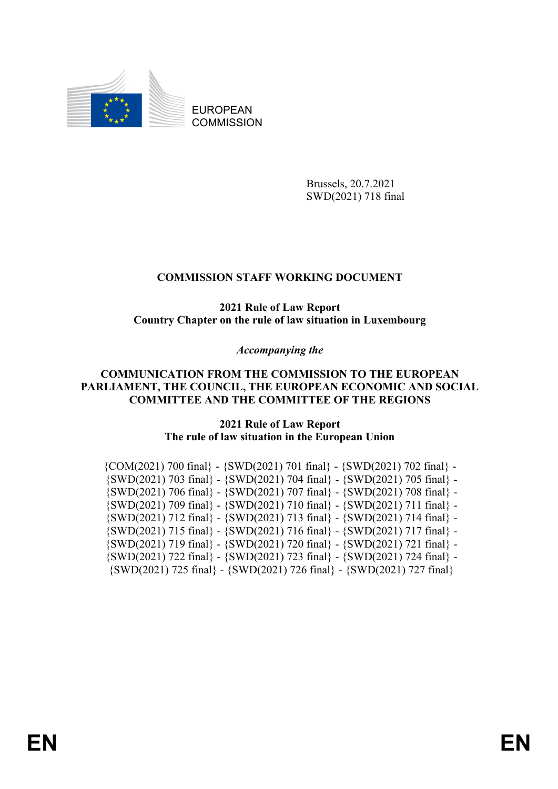

EUROPEAN **COMMISSION** 

> Brussels, 20.7.2021 SWD(2021) 718 final

# **COMMISSION STAFF WORKING DOCUMENT**

**2021 Rule of Law Report Country Chapter on the rule of law situation in Luxembourg**

*Accompanying the*

# **COMMUNICATION FROM THE COMMISSION TO THE EUROPEAN PARLIAMENT, THE COUNCIL, THE EUROPEAN ECONOMIC AND SOCIAL COMMITTEE AND THE COMMITTEE OF THE REGIONS**

**2021 Rule of Law Report The rule of law situation in the European Union**

| $\{COM(2021) 700 final\} - \{SWD(2021) 701 final\} - \{SWD(2021) 702 final\} - \}$ |
|------------------------------------------------------------------------------------|
| $\{SWD(2021)$ 703 final} - $\{SWD(2021)$ 704 final} - $\{SWD(2021)$ 705 final} -   |
| $\{SWD(2021)$ 706 final} - $\{SWD(2021)$ 707 final} - $\{SWD(2021)$ 708 final} -   |
| $\{SWD(2021)$ 709 final} - $\{SWD(2021)$ 710 final} - $\{SWD(2021)$ 711 final} -   |
| $\{SWD(2021)$ 712 final} - $\{SWD(2021)$ 713 final} - $\{SWD(2021)$ 714 final} -   |
| $\{SWD(2021)$ 715 final} - $\{SWD(2021)$ 716 final} - $\{SWD(2021)$ 717 final} -   |
| $\{SWD(2021)$ 719 final} - $\{SWD(2021)$ 720 final} - $\{SWD(2021)$ 721 final} -   |
| $\{SWD(2021)$ 722 final} - $\{SWD(2021)$ 723 final} - $\{SWD(2021)$ 724 final} -   |
| $\{SWD(2021)$ 725 final} - $\{SWD(2021)$ 726 final} - $\{SWD(2021)$ 727 final}     |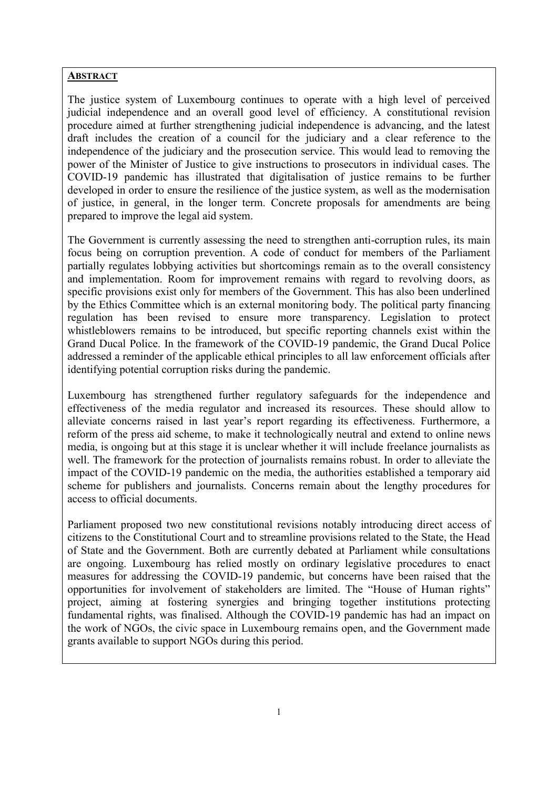# **ABSTRACT**

The justice system of Luxembourg continues to operate with a high level of perceived judicial independence and an overall good level of efficiency. A constitutional revision procedure aimed at further strengthening judicial independence is advancing, and the latest draft includes the creation of a council for the judiciary and a clear reference to the independence of the judiciary and the prosecution service. This would lead to removing the power of the Minister of Justice to give instructions to prosecutors in individual cases. The COVID-19 pandemic has illustrated that digitalisation of justice remains to be further developed in order to ensure the resilience of the justice system, as well as the modernisation of justice, in general, in the longer term. Concrete proposals for amendments are being prepared to improve the legal aid system.

The Government is currently assessing the need to strengthen anti-corruption rules, its main focus being on corruption prevention. A code of conduct for members of the Parliament partially regulates lobbying activities but shortcomings remain as to the overall consistency and implementation. Room for improvement remains with regard to revolving doors, as specific provisions exist only for members of the Government. This has also been underlined by the Ethics Committee which is an external monitoring body. The political party financing regulation has been revised to ensure more transparency. Legislation to protect whistleblowers remains to be introduced, but specific reporting channels exist within the Grand Ducal Police. In the framework of the COVID-19 pandemic, the Grand Ducal Police addressed a reminder of the applicable ethical principles to all law enforcement officials after identifying potential corruption risks during the pandemic.

Luxembourg has strengthened further regulatory safeguards for the independence and effectiveness of the media regulator and increased its resources. These should allow to alleviate concerns raised in last year's report regarding its effectiveness. Furthermore, a reform of the press aid scheme, to make it technologically neutral and extend to online news media, is ongoing but at this stage it is unclear whether it will include freelance journalists as well. The framework for the protection of journalists remains robust. In order to alleviate the impact of the COVID-19 pandemic on the media, the authorities established a temporary aid scheme for publishers and journalists. Concerns remain about the lengthy procedures for access to official documents.

Parliament proposed two new constitutional revisions notably introducing direct access of citizens to the Constitutional Court and to streamline provisions related to the State, the Head of State and the Government. Both are currently debated at Parliament while consultations are ongoing. Luxembourg has relied mostly on ordinary legislative procedures to enact measures for addressing the COVID-19 pandemic, but concerns have been raised that the opportunities for involvement of stakeholders are limited. The "House of Human rights" project, aiming at fostering synergies and bringing together institutions protecting fundamental rights, was finalised. Although the COVID-19 pandemic has had an impact on the work of NGOs, the civic space in Luxembourg remains open, and the Government made grants available to support NGOs during this period.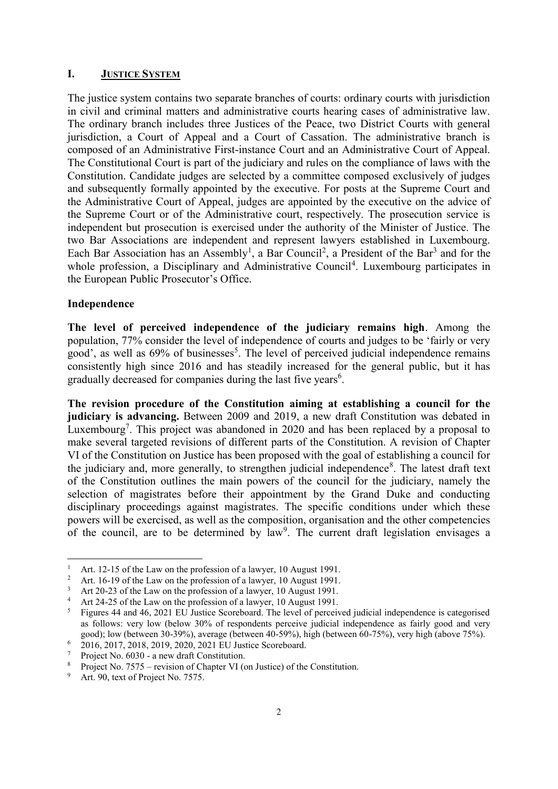## **I. JUSTICE SYSTEM**

The justice system contains two separate branches of courts: ordinary courts with jurisdiction in civil and criminal matters and administrative courts hearing cases of administrative law. The ordinary branch includes three Justices of the Peace, two District Courts with general jurisdiction, a Court of Appeal and a Court of Cassation. The administrative branch is composed of an Administrative First-instance Court and an Administrative Court of Appeal. The Constitutional Court is part of the judiciary and rules on the compliance of laws with the Constitution. Candidate judges are selected by a committee composed exclusively of judges and subsequently formally appointed by the executive. For posts at the Supreme Court and the Administrative Court of Appeal, judges are appointed by the executive on the advice of the Supreme Court or of the Administrative court, respectively. The prosecution service is independent but prosecution is exercised under the authority of the Minister of Justice. The two Bar Associations are independent and represent lawyers established in Luxembourg. Each Bar Association has an Assembly<sup>1</sup>, a Bar Council<sup>2</sup>, a President of the Bar<sup>3</sup> and for the whole profession, a Disciplinary and Administrative Council<sup>4</sup>. Luxembourg participates in the European Public Prosecutor's Office.

# **Independence**

**The level of perceived independence of the judiciary remains high**. Among the population, 77% consider the level of independence of courts and judges to be 'fairly or very good', as well as  $69\%$  of businesses<sup>5</sup>. The level of perceived judicial independence remains consistently high since 2016 and has steadily increased for the general public, but it has gradually decreased for companies during the last five years<sup>6</sup>.

**The revision procedure of the Constitution aiming at establishing a council for the judiciary is advancing.** Between 2009 and 2019, a new draft Constitution was debated in Luxembourg<sup>7</sup>. This project was abandoned in 2020 and has been replaced by a proposal to make several targeted revisions of different parts of the Constitution. A revision of Chapter VI of the Constitution on Justice has been proposed with the goal of establishing a council for the judiciary and, more generally, to strengthen judicial independence<sup>8</sup>. The latest draft text of the Constitution outlines the main powers of the council for the judiciary, namely the selection of magistrates before their appointment by the Grand Duke and conducting disciplinary proceedings against magistrates. The specific conditions under which these powers will be exercised, as well as the composition, organisation and the other competencies of the council, are to be determined by law<sup>9</sup>. The current draft legislation envisages a

 $\mathbf{1}$ <sup>1</sup> Art. 12-15 of the Law on the profession of a lawyer, 10 August 1991.

<sup>&</sup>lt;sup>2</sup> Art. 16-19 of the Law on the profession of a lawyer, 10 August 1991.

<sup>&</sup>lt;sup>3</sup> Art 20-23 of the Law on the profession of a lawyer, 10 August 1991.

<sup>&</sup>lt;sup>4</sup> Art 24-25 of the Law on the profession of a lawyer, 10 August 1991.<br><sup>5</sup> Eigures 44 and 46, 2021 ELL Justice Scoreboard. The layel of perceiv

<sup>5</sup> Figures 44 and 46, 2021 EU Justice Scoreboard. The level of perceived judicial independence is categorised as follows: very low (below 30% of respondents perceive judicial independence as fairly good and very good); low (between 30-39%), average (between 40-59%), high (between 60-75%), very high (above 75%).

<sup>6</sup> 2016, 2017, 2018, 2019, 2020, 2021 EU Justice Scoreboard.

<sup>7</sup> Project No. 6030 - a new draft Constitution.

<sup>8</sup> Project No. 7575 – revision of Chapter VI (on Justice) of the Constitution.

<sup>&</sup>lt;sup>9</sup> Art. 90, text of Project No. 7575.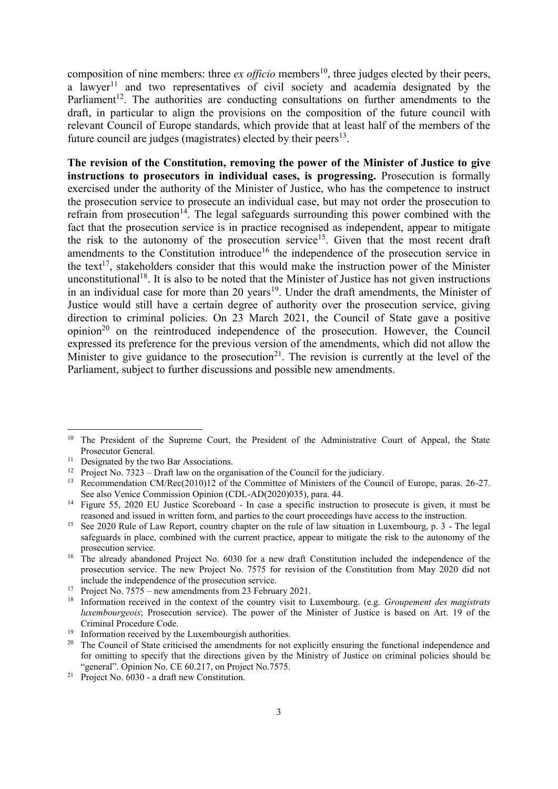composition of nine members: three *ex officio* members<sup>10</sup>, three judges elected by their peers, a lawyer<sup>11</sup> and two representatives of civil society and academia designated by the Parliament<sup>12</sup>. The authorities are conducting consultations on further amendments to the draft, in particular to align the provisions on the composition of the future council with relevant Council of Europe standards, which provide that at least half of the members of the future council are judges (magistrates) elected by their peers<sup>13</sup>.

**The revision of the Constitution, removing the power of the Minister of Justice to give instructions to prosecutors in individual cases, is progressing.** Prosecution is formally exercised under the authority of the Minister of Justice, who has the competence to instruct the prosecution service to prosecute an individual case, but may not order the prosecution to refrain from prosecution<sup>14</sup>. The legal safeguards surrounding this power combined with the fact that the prosecution service is in practice recognised as independent, appear to mitigate the risk to the autonomy of the prosecution service<sup>15</sup>. Given that the most recent draft amendments to the Constitution introduce<sup>16</sup> the independence of the prosecution service in the text<sup>17</sup>, stakeholders consider that this would make the instruction power of the Minister unconstitutional<sup>18</sup>. It is also to be noted that the Minister of Justice has not given instructions in an individual case for more than 20 years<sup>19</sup>. Under the draft amendments, the Minister of Justice would still have a certain degree of authority over the prosecution service, giving direction to criminal policies. On 23 March 2021, the Council of State gave a positive  $opinion<sup>20</sup>$  on the reintroduced independence of the prosecution. However, the Council expressed its preference for the previous version of the amendments, which did not allow the Minister to give guidance to the prosecution<sup>21</sup>. The revision is currently at the level of the Parliament, subject to further discussions and possible new amendments.

<sup>&</sup>lt;sup>10</sup> The President of the Supreme Court, the President of the Administrative Court of Appeal, the State Prosecutor General.

<sup>&</sup>lt;sup>11</sup> Designated by the two Bar Associations.

<sup>&</sup>lt;sup>12</sup> Project No. 7323 – Draft law on the organisation of the Council for the judiciary.

<sup>&</sup>lt;sup>13</sup> Recommendation CM/Rec(2010)12 of the Committee of Ministers of the Council of Europe, paras. 26-27. See also Venice Commission Opinion (CDL-AD(2020)035), para. 44.

<sup>&</sup>lt;sup>14</sup> Figure 55, 2020 EU Justice Scoreboard - In case a specific instruction to prosecute is given, it must be reasoned and issued in written form, and parties to the court proceedings have access to the instruction.

<sup>&</sup>lt;sup>15</sup> See 2020 Rule of Law Report, country chapter on the rule of law situation in Luxembourg, p. 3 - The legal safeguards in place, combined with the current practice, appear to mitigate the risk to the autonomy of the prosecution service.

<sup>&</sup>lt;sup>16</sup> The already abandoned Project No. 6030 for a new draft Constitution included the independence of the prosecution service. The new Project No. 7575 for revision of the Constitution from May 2020 did not include the independence of the prosecution service.

<sup>&</sup>lt;sup>17</sup> Project No.  $7575$  – new amendments from 23 February 2021.

<sup>18</sup> Information received in the context of the country visit to Luxembourg. (e.g. *Groupement des magistrats luxembourgeois*; Prosecution service). The power of the Minister of Justice is based on Art. 19 of the Criminal Procedure Code.

<sup>19</sup> Information received by the Luxembourgish authorities.

<sup>&</sup>lt;sup>20</sup> The Council of State criticised the amendments for not explicitly ensuring the functional independence and for omitting to specify that the directions given by the Ministry of Justice on criminal policies should be "general". Opinion No. CE 60.217, on Project No.7575.

<sup>&</sup>lt;sup>21</sup> Project No.  $6030$  - a draft new Constitution.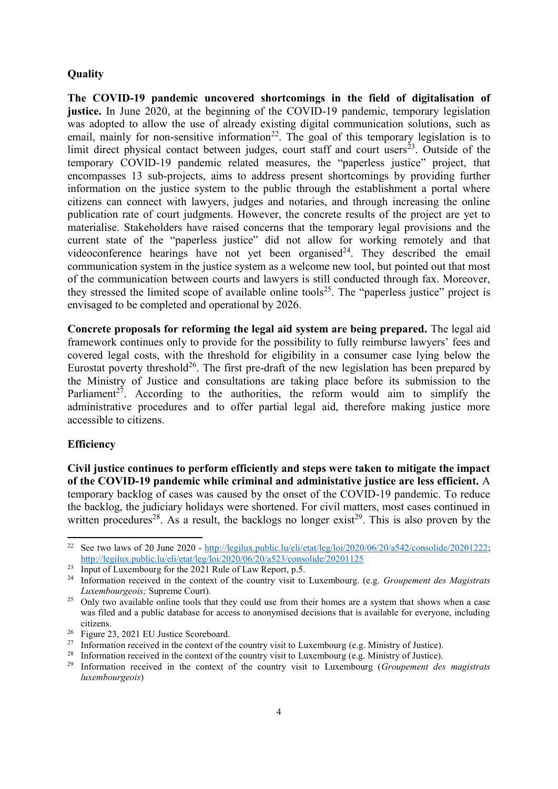# **Quality**

**The COVID-19 pandemic uncovered shortcomings in the field of digitalisation of justice.** In June 2020, at the beginning of the COVID-19 pandemic, temporary legislation was adopted to allow the use of already existing digital communication solutions, such as email, mainly for non-sensitive information<sup>22</sup>. The goal of this temporary legislation is to limit direct physical contact between judges, court staff and court users<sup>23</sup>. Outside of the temporary COVID-19 pandemic related measures, the "paperless justice" project, that encompasses 13 sub-projects, aims to address present shortcomings by providing further information on the justice system to the public through the establishment a portal where citizens can connect with lawyers, judges and notaries, and through increasing the online publication rate of court judgments. However, the concrete results of the project are yet to materialise. Stakeholders have raised concerns that the temporary legal provisions and the current state of the "paperless justice" did not allow for working remotely and that videoconference hearings have not yet been organised<sup>24</sup>. They described the email communication system in the justice system as a welcome new tool, but pointed out that most of the communication between courts and lawyers is still conducted through fax. Moreover, they stressed the limited scope of available online tools<sup>25</sup>. The "paperless justice" project is envisaged to be completed and operational by 2026.

**Concrete proposals for reforming the legal aid system are being prepared.** The legal aid framework continues only to provide for the possibility to fully reimburse lawyers' fees and covered legal costs, with the threshold for eligibility in a consumer case lying below the Eurostat poverty threshold<sup>26</sup>. The first pre-draft of the new legislation has been prepared by the Ministry of Justice and consultations are taking place before its submission to the Parliament<sup>27</sup>. According to the authorities, the reform would aim to simplify the administrative procedures and to offer partial legal aid, therefore making justice more accessible to citizens.

#### **Efficiency**

**.** 

**Civil justice continues to perform efficiently and steps were taken to mitigate the impact of the COVID-19 pandemic while criminal and administative justice are less efficient.** A temporary backlog of cases was caused by the onset of the COVID-19 pandemic. To reduce the backlog, the judiciary holidays were shortened. For civil matters, most cases continued in written procedures<sup>28</sup>. As a result, the backlogs no longer exist<sup>29</sup>. This is also proven by the

<sup>&</sup>lt;sup>22</sup> See two laws of 20 June 2020 - [http://legilux.public.lu/eli/etat/leg/loi/2020/06/20/a542/consolide/20201222;](http://legilux.public.lu/eli/etat/leg/loi/2020/06/20/a542/consolide/20201222) <http://legilux.public.lu/eli/etat/leg/loi/2020/06/20/a523/consolide/20201125>

<sup>&</sup>lt;sup>23</sup> Input of Luxembourg for the 2021 Rule of Law Report, p.5.

<sup>24</sup> Information received in the context of the country visit to Luxembourg. (e.g. *Groupement des Magistrats Luxembourgeois;* Supreme Court).

<sup>&</sup>lt;sup>25</sup> Only two available online tools that they could use from their homes are a system that shows when a case was filed and a public database for access to anonymised decisions that is available for everyone, including citizens.

<sup>26</sup> Figure 23, 2021 EU Justice Scoreboard.

<sup>&</sup>lt;sup>27</sup> Information received in the context of the country visit to Luxembourg (e.g. Ministry of Justice).

<sup>&</sup>lt;sup>28</sup> Information received in the context of the country visit to Luxembourg (e.g. Ministry of Justice).

<sup>29</sup> Information received in the context of the country visit to Luxembourg (*Groupement des magistrats luxembourgeois*)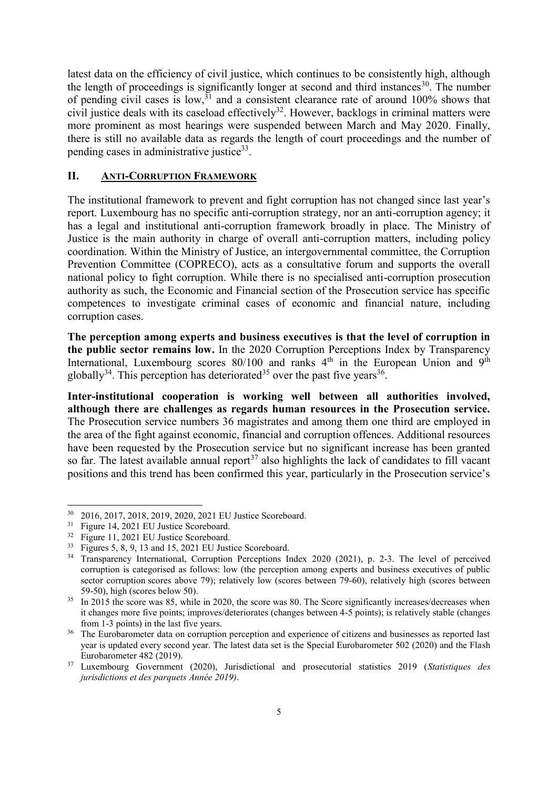latest data on the efficiency of civil justice, which continues to be consistently high, although the length of proceedings is significantly longer at second and third instances<sup>30</sup>. The number of pending civil cases is low,<sup>31</sup> and a consistent clearance rate of around 100% shows that civil justice deals with its caseload effectively<sup>32</sup>. However, backlogs in criminal matters were more prominent as most hearings were suspended between March and May 2020. Finally, there is still no available data as regards the length of court proceedings and the number of pending cases in administrative justice<sup>33</sup>.

## **II. ANTI-CORRUPTION FRAMEWORK**

The institutional framework to prevent and fight corruption has not changed since last year's report. Luxembourg has no specific anti-corruption strategy, nor an anti-corruption agency; it has a legal and institutional anti-corruption framework broadly in place. The Ministry of Justice is the main authority in charge of overall anti-corruption matters, including policy coordination. Within the Ministry of Justice, an intergovernmental committee, the Corruption Prevention Committee (COPRECO), acts as a consultative forum and supports the overall national policy to fight corruption. While there is no specialised anti-corruption prosecution authority as such, the Economic and Financial section of the Prosecution service has specific competences to investigate criminal cases of economic and financial nature, including corruption cases.

**The perception among experts and business executives is that the level of corruption in the public sector remains low.** In the 2020 Corruption Perceptions Index by Transparency International, Luxembourg scores  $80/100$  and ranks  $4<sup>th</sup>$  in the European Union and  $9<sup>th</sup>$ globally<sup>34</sup>. This perception has deteriorated<sup>35</sup> over the past five years<sup>36</sup>.

**Inter-institutional cooperation is working well between all authorities involved, although there are challenges as regards human resources in the Prosecution service.**  The Prosecution service numbers 36 magistrates and among them one third are employed in the area of the fight against economic, financial and corruption offences. Additional resources have been requested by the Prosecution service but no significant increase has been granted so far. The latest available annual report<sup>37</sup> also highlights the lack of candidates to fill vacant positions and this trend has been confirmed this year, particularly in the Prosecution service's

<sup>30</sup> 2016, 2017, 2018, 2019, 2020, 2021 EU Justice Scoreboard.

<sup>&</sup>lt;sup>31</sup> Figure 14, 2021 EU Justice Scoreboard.

<sup>32</sup> Figure 11, 2021 EU Justice Scoreboard.

<sup>33</sup> Figures 5, 8, 9, 13 and 15, 2021 EU Justice Scoreboard.

<sup>&</sup>lt;sup>34</sup> Transparency International, Corruption Perceptions Index 2020 (2021), p. 2-3. The level of perceived corruption is categorised as follows: low (the perception among experts and business executives of public sector corruption scores above 79); relatively low (scores between 79-60), relatively high (scores between 59-50), high (scores below 50).

<sup>&</sup>lt;sup>35</sup> In 2015 the score was 85, while in 2020, the score was 80. The Score significantly increases/decreases when it changes more five points; improves/deteriorates (changes between 4-5 points); is relatively stable (changes from 1-3 points) in the last five years.

<sup>&</sup>lt;sup>36</sup> The Eurobarometer data on corruption perception and experience of citizens and businesses as reported last year is updated every second year. The latest data set is the Special Eurobarometer 502 (2020) and the Flash Eurobarometer 482 (2019).

<sup>37</sup> Luxembourg Government (2020), Jurisdictional and prosecutorial statistics 2019 (*Statistiques des jurisdictions et des parquets Année 2019)*.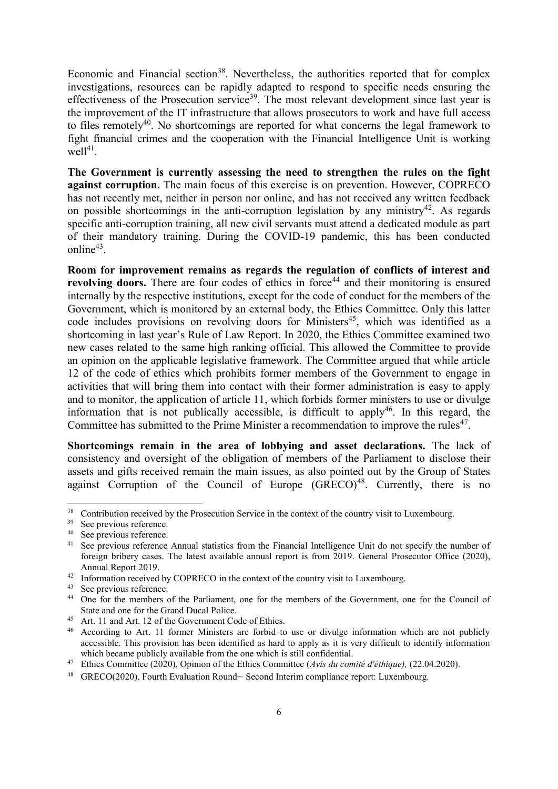Economic and Financial section<sup>38</sup>. Nevertheless, the authorities reported that for complex investigations, resources can be rapidly adapted to respond to specific needs ensuring the effectiveness of the Prosecution service<sup>39</sup>. The most relevant development since last year is the improvement of the IT infrastructure that allows prosecutors to work and have full access to files remotely<sup>40</sup>. No shortcomings are reported for what concerns the legal framework to fight financial crimes and the cooperation with the Financial Intelligence Unit is working  $well<sup>41</sup>$ .

**The Government is currently assessing the need to strengthen the rules on the fight against corruption**. The main focus of this exercise is on prevention. However, COPRECO has not recently met, neither in person nor online, and has not received any written feedback on possible shortcomings in the anti-corruption legislation by any ministry<sup>42</sup>. As regards specific anti-corruption training, all new civil servants must attend a dedicated module as part of their mandatory training. During the COVID-19 pandemic, this has been conducted online<sup>43</sup>.

**Room for improvement remains as regards the regulation of conflicts of interest and revolving doors.** There are four codes of ethics in force<sup>44</sup> and their monitoring is ensured internally by the respective institutions, except for the code of conduct for the members of the Government, which is monitored by an external body, the Ethics Committee. Only this latter code includes provisions on revolving doors for Ministers<sup>45</sup>, which was identified as a shortcoming in last year's Rule of Law Report. In 2020, the Ethics Committee examined two new cases related to the same high ranking official. This allowed the Committee to provide an opinion on the applicable legislative framework. The Committee argued that while article 12 of the code of ethics which prohibits former members of the Government to engage in activities that will bring them into contact with their former administration is easy to apply and to monitor, the application of article 11, which forbids former ministers to use or divulge information that is not publically accessible, is difficult to apply<sup>46</sup>. In this regard, the Committee has submitted to the Prime Minister a recommendation to improve the rules $47$ .

**Shortcomings remain in the area of lobbying and asset declarations.** The lack of consistency and oversight of the obligation of members of the Parliament to disclose their assets and gifts received remain the main issues, as also pointed out by the Group of States against Corruption of the Council of Europe  $(GRECO)^{48}$ . Currently, there is no

<sup>&</sup>lt;sup>38</sup> Contribution received by the Prosecution Service in the context of the country visit to Luxembourg.<br><sup>39</sup> See proviews reference

See previous reference.

<sup>40</sup> See previous reference.

<sup>&</sup>lt;sup>41</sup> See previous reference Annual statistics from the Financial Intelligence Unit do not specify the number of foreign bribery cases. The latest available annual report is from 2019. General Prosecutor Office (2020), Annual Report 2019.

<sup>&</sup>lt;sup>42</sup> Information received by COPRECO in the context of the country visit to Luxembourg.

<sup>43</sup> See previous reference.

<sup>44</sup> One for the members of the Parliament, one for the members of the Government, one for the Council of State and one for the Grand Ducal Police.

<sup>&</sup>lt;sup>45</sup> Art. 11 and Art. 12 of the Government Code of Ethics.<br><sup>46</sup> According to Art. 11 former Ministers are forbid to

According to Art. 11 former Ministers are forbid to use or divulge information which are not publicly accessible. This provision has been identified as hard to apply as it is very difficult to identify information which became publicly available from the one which is still confidential.

<sup>47</sup> Ethics Committee (2020), Opinion of the Ethics Committee (*Avis du comité d'éthique),* (22.04.2020).

<sup>48</sup> GRECO(2020), Fourth Evaluation Round– Second Interim compliance report: Luxembourg.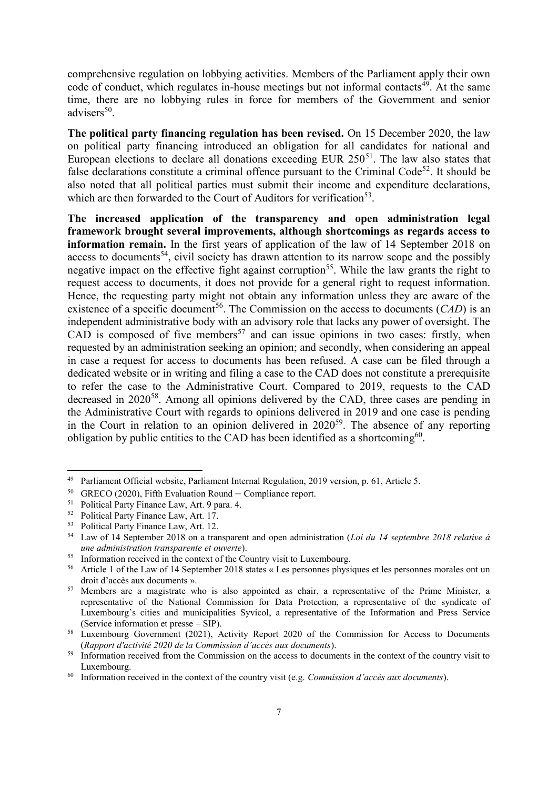comprehensive regulation on lobbying activities. Members of the Parliament apply their own code of conduct, which regulates in-house meetings but not informal contacts<sup>49</sup>. At the same time, there are no lobbying rules in force for members of the Government and senior advisers<sup>50</sup>.

**The political party financing regulation has been revised.** On 15 December 2020, the law on political party financing introduced an obligation for all candidates for national and European elections to declare all donations exceeding EUR  $250<sup>51</sup>$ . The law also states that false declarations constitute a criminal offence pursuant to the Criminal Code<sup>52</sup>. It should be also noted that all political parties must submit their income and expenditure declarations, which are then forwarded to the Court of Auditors for verification<sup>53</sup>.

**The increased application of the transparency and open administration legal framework brought several improvements, although shortcomings as regards access to information remain.** In the first years of application of the law of 14 September 2018 on access to documents<sup>54</sup>, civil society has drawn attention to its narrow scope and the possibly negative impact on the effective fight against corruption<sup>55</sup>. While the law grants the right to request access to documents, it does not provide for a general right to request information. Hence, the requesting party might not obtain any information unless they are aware of the existence of a specific document<sup>56</sup>. The Commission on the access to documents  $(CAD)$  is an independent administrative body with an advisory role that lacks any power of oversight. The  $CAD$  is composed of five members<sup>57</sup> and can issue opinions in two cases: firstly, when requested by an administration seeking an opinion; and secondly, when considering an appeal in case a request for access to documents has been refused. A case can be filed through a dedicated website or in writing and filing a case to the CAD does not constitute a prerequisite to refer the case to the Administrative Court. Compared to 2019, requests to the CAD decreased in 2020<sup>58</sup>. Among all opinions delivered by the CAD, three cases are pending in the Administrative Court with regards to opinions delivered in 2019 and one case is pending in the Court in relation to an opinion delivered in  $2020^{59}$ . The absence of any reporting obligation by public entities to the CAD has been identified as a shortcoming<sup>60</sup>.

 $\overline{a}$ 

<sup>49</sup> Parliament Official website, Parliament Internal Regulation, 2019 version, p. 61, Article 5.

<sup>&</sup>lt;sup>50</sup> GRECO (2020), Fifth Evaluation Round – Compliance report.<br>
<sup>51</sup> Political Party Finance Law, Art, 0 pare 4.

<sup>51</sup> Political Party Finance Law, Art. 9 para. 4.

<sup>52</sup> Political Party Finance Law, Art. 17.

<sup>53</sup> Political Party Finance Law, Art. 12.

<sup>54</sup> Law of 14 September 2018 on a transparent and open administration (*Loi du 14 septembre 2018 relative à une administration transparente et ouverte*).

<sup>&</sup>lt;sup>55</sup> Information received in the context of the Country visit to Luxembourg.<br><sup>56</sup> Article 1 of the Law of 14 September 2018 states  $\alpha$  Les personnes physi

<sup>56</sup> Article 1 of the Law of 14 September 2018 states « Les personnes physiques et les personnes morales ont un droit d'accès aux documents ».

<sup>57</sup> Members are a magistrate who is also appointed as chair, a representative of the Prime Minister, a representative of the National Commission for Data Protection, a representative of the syndicate of Luxembourg's cities and municipalities Syvicol, a representative of the Information and Press Service (Service information et presse – SIP).

<sup>&</sup>lt;sup>58</sup> Luxembourg Government (2021), Activity Report 2020 of the Commission for Access to Documents (*Rapport d'activité 2020 de la Commission d'accès aux documents*).

<sup>&</sup>lt;sup>59</sup> Information received from the Commission on the access to documents in the context of the country visit to Luxembourg.

<sup>60</sup> Information received in the context of the country visit (e.g. *Commission d'accès aux documents*).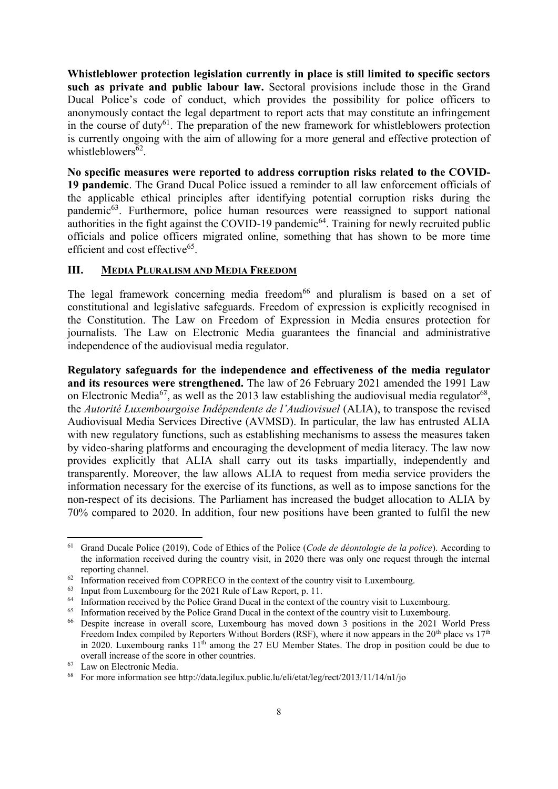**Whistleblower protection legislation currently in place is still limited to specific sectors such as private and public labour law.** Sectoral provisions include those in the Grand Ducal Police's code of conduct, which provides the possibility for police officers to anonymously contact the legal department to report acts that may constitute an infringement in the course of duty<sup>61</sup>. The preparation of the new framework for whistleblowers protection is currently ongoing with the aim of allowing for a more general and effective protection of whistleblowers<sup>62</sup>.

**No specific measures were reported to address corruption risks related to the COVID-19 pandemic**. The Grand Ducal Police issued a reminder to all law enforcement officials of the applicable ethical principles after identifying potential corruption risks during the pandemic<sup>63</sup>. Furthermore, police human resources were reassigned to support national authorities in the fight against the COVID-19 pandemic<sup>64</sup>. Training for newly recruited public officials and police officers migrated online, something that has shown to be more time efficient and cost effective<sup>65</sup>.

# **III. MEDIA PLURALISM AND MEDIA FREEDOM**

The legal framework concerning media freedom<sup>66</sup> and pluralism is based on a set of constitutional and legislative safeguards. Freedom of expression is explicitly recognised in the Constitution. The Law on Freedom of Expression in Media ensures protection for journalists. The Law on Electronic Media guarantees the financial and administrative independence of the audiovisual media regulator.

**Regulatory safeguards for the independence and effectiveness of the media regulator and its resources were strengthened.** The law of 26 February 2021 amended the 1991 Law on Electronic Media<sup>67</sup>, as well as the 2013 law establishing the audiovisual media regulator<sup>68</sup>, the *Autorité Luxembourgoise Indépendente de l'Audiovisuel* (ALIA), to transpose the revised Audiovisual Media Services Directive (AVMSD). In particular, the law has entrusted ALIA with new regulatory functions, such as establishing mechanisms to assess the measures taken by video-sharing platforms and encouraging the development of media literacy. The law now provides explicitly that ALIA shall carry out its tasks impartially, independently and transparently. Moreover, the law allows ALIA to request from media service providers the information necessary for the exercise of its functions, as well as to impose sanctions for the non-respect of its decisions. The Parliament has increased the budget allocation to ALIA by 70% compared to 2020. In addition, four new positions have been granted to fulfil the new

**<sup>.</sup>** <sup>61</sup> Grand Ducale Police (2019), Code of Ethics of the Police (*Code de déontologie de la police*). According to the information received during the country visit, in 2020 there was only one request through the internal reporting channel.

 $62$  Information received from COPRECO in the context of the country visit to Luxembourg.

 $^{63}$  Input from Luxembourg for the 2021 Rule of Law Report, p. 11.<br> $^{64}$  Information received by the Police Grand Ducal in the context of

Information received by the Police Grand Ducal in the context of the country visit to Luxembourg.

<sup>&</sup>lt;sup>65</sup> Information received by the Police Grand Ducal in the context of the country visit to Luxembourg.

<sup>66</sup> Despite increase in overall score, Luxembourg has moved down 3 positions in the 2021 World Press Freedom Index compiled by Reporters Without Borders (RSF), where it now appears in the 20<sup>th</sup> place vs  $17<sup>th</sup>$ in 2020. Luxembourg ranks  $11<sup>th</sup>$  among the 27 EU Member States. The drop in position could be due to overall increase of the score in other countries.

<sup>67</sup> Law on Electronic Media.

<sup>&</sup>lt;sup>68</sup> For more information see http://data.legilux.public.lu/eli/etat/leg/rect/2013/11/14/n1/jo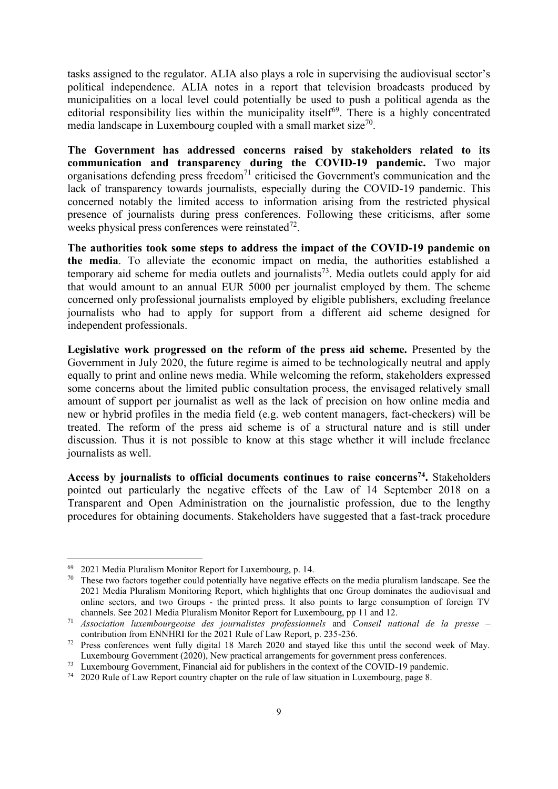tasks assigned to the regulator. ALIA also plays a role in supervising the audiovisual sector's political independence. ALIA notes in a report that television broadcasts produced by municipalities on a local level could potentially be used to push a political agenda as the editorial responsibility lies within the municipality itself<sup>69</sup>. There is a highly concentrated media landscape in Luxembourg coupled with a small market size<sup>70</sup>.

**The Government has addressed concerns raised by stakeholders related to its communication and transparency during the COVID-19 pandemic.** Two major organisations defending press freedom<sup>71</sup> criticised the Government's communication and the lack of transparency towards journalists, especially during the COVID-19 pandemic. This concerned notably the limited access to information arising from the restricted physical presence of journalists during press conferences. Following these criticisms, after some weeks physical press conferences were reinstated $72$ .

**The authorities took some steps to address the impact of the COVID-19 pandemic on the media**. To alleviate the economic impact on media, the authorities established a temporary aid scheme for media outlets and journalists<sup>73</sup>. Media outlets could apply for aid that would amount to an annual EUR 5000 per journalist employed by them. The scheme concerned only professional journalists employed by eligible publishers, excluding freelance journalists who had to apply for support from a different aid scheme designed for independent professionals.

**Legislative work progressed on the reform of the press aid scheme.** Presented by the Government in July 2020, the future regime is aimed to be technologically neutral and apply equally to print and online news media. While welcoming the reform, stakeholders expressed some concerns about the limited public consultation process, the envisaged relatively small amount of support per journalist as well as the lack of precision on how online media and new or hybrid profiles in the media field (e.g. web content managers, fact-checkers) will be treated. The reform of the press aid scheme is of a structural nature and is still under discussion. Thus it is not possible to know at this stage whether it will include freelance journalists as well.

**Access by journalists to official documents continues to raise concerns<sup>74</sup> .** Stakeholders pointed out particularly the negative effects of the Law of 14 September 2018 on a Transparent and Open Administration on the journalistic profession, due to the lengthy procedures for obtaining documents. Stakeholders have suggested that a fast-track procedure

1

<sup>69</sup> 2021 Media Pluralism Monitor Report for Luxembourg, p. 14.

<sup>&</sup>lt;sup>70</sup> These two factors together could potentially have negative effects on the media pluralism landscape. See the 2021 Media Pluralism Monitoring Report, which highlights that one Group dominates the audiovisual and online sectors, and two Groups - the printed press. It also points to large consumption of foreign TV channels. See 2021 Media Pluralism Monitor Report for Luxembourg, pp 11 and 12.

<sup>71</sup> *Association luxembourgeoise des journalistes professionnels* and *Conseil national de la presse* – contribution from ENNHRI for the 2021 Rule of Law Report, p. 235-236.

<sup>72</sup> Press conferences went fully digital 18 March 2020 and stayed like this until the second week of May. Luxembourg Government (2020), New practical arrangements for government press conferences.

<sup>73</sup> Luxembourg Government, Financial aid for publishers in the context of the COVID-19 pandemic.

<sup>74</sup> 2020 Rule of Law Report country chapter on the rule of law situation in Luxembourg, page 8.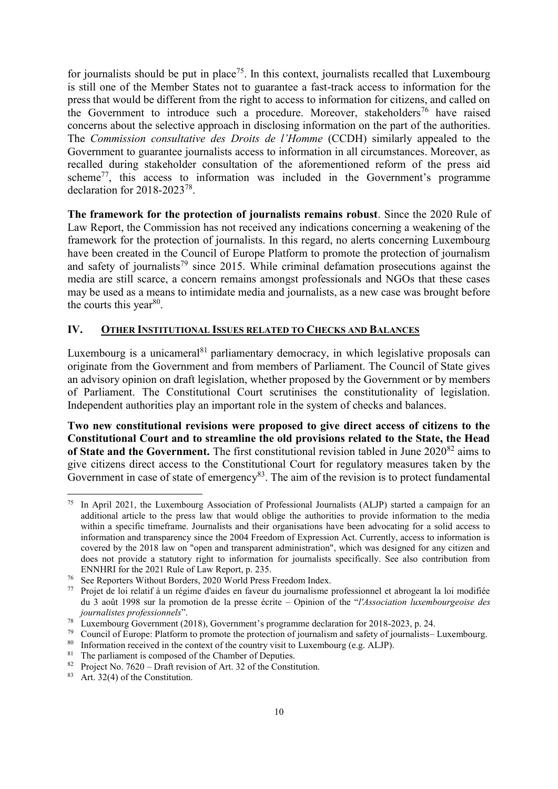for journalists should be put in place<sup>75</sup>. In this context, journalists recalled that Luxembourg is still one of the Member States not to guarantee a fast-track access to information for the press that would be different from the right to access to information for citizens, and called on the Government to introduce such a procedure. Moreover, stakeholders<sup>76</sup> have raised concerns about the selective approach in disclosing information on the part of the authorities. The *Commission consultative des Droits de l'Homme* (CCDH) similarly appealed to the Government to guarantee journalists access to information in all circumstances. Moreover, as recalled during stakeholder consultation of the aforementioned reform of the press aid scheme<sup>77</sup>, this access to information was included in the Government's programme declaration for 2018-2023<sup>78</sup> .

**The framework for the protection of journalists remains robust**. Since the 2020 Rule of Law Report, the Commission has not received any indications concerning a weakening of the framework for the protection of journalists. In this regard, no alerts concerning Luxembourg have been created in the Council of Europe Platform to promote the protection of journalism and safety of journalists<sup>79</sup> since 2015. While criminal defamation prosecutions against the media are still scarce, a concern remains amongst professionals and NGOs that these cases may be used as a means to intimidate media and journalists, as a new case was brought before the courts this year $80$ .

# **IV. OTHER INSTITUTIONAL ISSUES RELATED TO CHECKS AND BALANCES**

Luxembourg is a unicameral $81$  parliamentary democracy, in which legislative proposals can originate from the Government and from members of Parliament. The Council of State gives an advisory opinion on draft legislation, whether proposed by the Government or by members of Parliament. The Constitutional Court scrutinises the constitutionality of legislation. Independent authorities play an important role in the system of checks and balances.

**Two new constitutional revisions were proposed to give direct access of citizens to the Constitutional Court and to streamline the old provisions related to the State, the Head**  of State and the Government. The first constitutional revision tabled in June 2020<sup>82</sup> aims to give citizens direct access to the Constitutional Court for regulatory measures taken by the Government in case of state of emergency $83$ . The aim of the revision is to protect fundamental

<sup>75</sup> In April 2021, the Luxembourg Association of Professional Journalists (ALJP) started a campaign for an additional article to the press law that would oblige the authorities to provide information to the media within a specific timeframe. Journalists and their organisations have been advocating for a solid access to information and transparency since the 2004 Freedom of Expression Act. Currently, access to information is covered by the 2018 law on "open and transparent administration", which was designed for any citizen and does not provide a statutory right to information for journalists specifically. See also contribution from ENNHRI for the 2021 Rule of Law Report, p. 235.

See Reporters Without Borders, 2020 World Press Freedom Index.

<sup>77</sup> Projet de loi relatif à un régime d'aides en faveur du journalisme professionnel et abrogeant la loi modifiée du 3 août 1998 sur la promotion de la presse écrite – Opinion of the "*l'Association luxembourgeoise des journalistes professionnels*".

<sup>&</sup>lt;sup>78</sup> Luxembourg Government (2018), Government's programme declaration for 2018-2023, p. 24.<br><sup>79</sup> Council of Europe: Platform to promote the protection of iournalism and safety of iournalists—

<sup>&</sup>lt;sup>79</sup> Council of Europe: Platform to promote the protection of journalism and safety of journalists– Luxembourg.<br><sup>80</sup> Information received in the context of the country visit to Luxembourg (e.g. ALIP).

 $80$  Information received in the context of the country visit to Luxembourg (e.g. ALJP).<br> $81$  The perliament is composed of the Chamber of Deputies.

The parliament is composed of the Chamber of Deputies.

<sup>&</sup>lt;sup>82</sup> Project No. 7620 – Draft revision of Art. 32 of the Constitution.

 $83$  Art. 32(4) of the Constitution.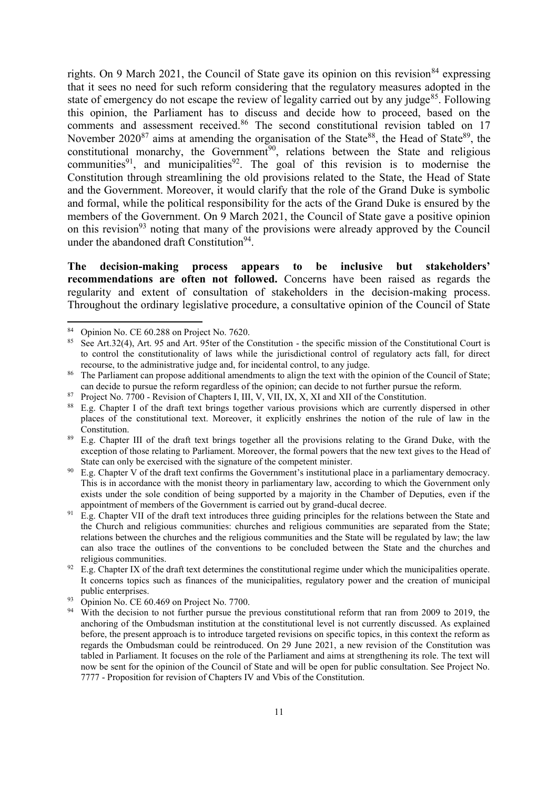rights. On 9 March 2021, the Council of State gave its opinion on this revision<sup>84</sup> expressing that it sees no need for such reform considering that the regulatory measures adopted in the state of emergency do not escape the review of legality carried out by any judge<sup>85</sup>. Following this opinion, the Parliament has to discuss and decide how to proceed, based on the comments and assessment received.<sup>86</sup> The second constitutional revision tabled on 17 November 2020<sup>87</sup> aims at amending the organisation of the State<sup>88</sup>, the Head of State<sup>89</sup>, the constitutional monarchy, the Government<sup>90</sup>, relations between the State and religious communities<sup>91</sup>, and municipalities<sup>92</sup>. The goal of this revision is to modernise the Constitution through streamlining the old provisions related to the State, the Head of State and the Government. Moreover, it would clarify that the role of the Grand Duke is symbolic and formal, while the political responsibility for the acts of the Grand Duke is ensured by the members of the Government. On 9 March 2021, the Council of State gave a positive opinion on this revision<sup>93</sup> noting that many of the provisions were already approved by the Council under the abandoned draft Constitution<sup>94</sup>.

**The decision-making process appears to be inclusive but stakeholders' recommendations are often not followed.** Concerns have been raised as regards the regularity and extent of consultation of stakeholders in the decision-making process. Throughout the ordinary legislative procedure, a consultative opinion of the Council of State

1

 $93$  Opinion No. CE 60.469 on Project No. 7700.

Opinion No. CE 60.288 on Project No. 7620.

See Art.32(4), Art. 95 and Art. 95ter of the Constitution - the specific mission of the Constitutional Court is to control the constitutionality of laws while the jurisdictional control of regulatory acts fall, for direct recourse, to the administrative judge and, for incidental control, to any judge.

<sup>&</sup>lt;sup>86</sup> The Parliament can propose additional amendments to align the text with the opinion of the Council of State; can decide to pursue the reform regardless of the opinion; can decide to not further pursue the reform.

<sup>&</sup>lt;sup>87</sup> Project No. 7700 - Revision of Chapters I, III, V, VII, IX, X, XI and XII of the Constitution.

<sup>88</sup> E.g. Chapter I of the draft text brings together various provisions which are currently dispersed in other places of the constitutional text. Moreover, it explicitly enshrines the notion of the rule of law in the Constitution.

<sup>&</sup>lt;sup>89</sup> E.g. Chapter III of the draft text brings together all the provisions relating to the Grand Duke, with the exception of those relating to Parliament. Moreover, the formal powers that the new text gives to the Head of State can only be exercised with the signature of the competent minister.

E.g. Chapter V of the draft text confirms the Government's institutional place in a parliamentary democracy. This is in accordance with the monist theory in parliamentary law, according to which the Government only exists under the sole condition of being supported by a majority in the Chamber of Deputies, even if the appointment of members of the Government is carried out by grand-ducal decree.

 $^{91}$  E.g. Chapter VII of the draft text introduces three guiding principles for the relations between the State and the Church and religious communities: churches and religious communities are separated from the State; relations between the churches and the religious communities and the State will be regulated by law; the law can also trace the outlines of the conventions to be concluded between the State and the churches and religious communities.

 $92$  E.g. Chapter IX of the draft text determines the constitutional regime under which the municipalities operate. It concerns topics such as finances of the municipalities, regulatory power and the creation of municipal public enterprises.

<sup>&</sup>lt;sup>94</sup> With the decision to not further pursue the previous constitutional reform that ran from 2009 to 2019, the anchoring of the Ombudsman institution at the constitutional level is not currently discussed. As explained before, the present approach is to introduce targeted revisions on specific topics, in this context the reform as regards the Ombudsman could be reintroduced. On 29 June 2021, a new revision of the Constitution was tabled in Parliament. It focuses on the role of the Parliament and aims at strengthening its role. The text will now be sent for the opinion of the Council of State and will be open for public consultation. See Project No. 7777 - Proposition for revision of Chapters IV and Vbis of the Constitution.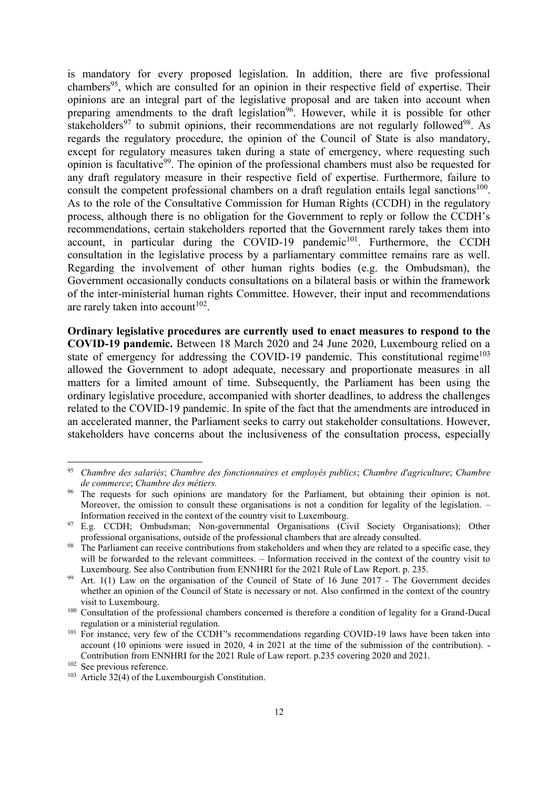is mandatory for every proposed legislation. In addition, there are five professional chambers<sup>95</sup>, which are consulted for an opinion in their respective field of expertise. Their opinions are an integral part of the legislative proposal and are taken into account when preparing amendments to the draft legislation<sup>96</sup>. However, while it is possible for other stakeholders<sup>97</sup> to submit opinions, their recommendations are not regularly followed<sup>98</sup>. As regards the regulatory procedure, the opinion of the Council of State is also mandatory, except for regulatory measures taken during a state of emergency, where requesting such opinion is facultative<sup>99</sup>. The opinion of the professional chambers must also be requested for any draft regulatory measure in their respective field of expertise. Furthermore, failure to consult the competent professional chambers on a draft regulation entails legal sanctions<sup>100</sup>. As to the role of the Consultative Commission for Human Rights (CCDH) in the regulatory process, although there is no obligation for the Government to reply or follow the CCDH's recommendations, certain stakeholders reported that the Government rarely takes them into account, in particular during the COVID-19 pandemic<sup>101</sup>. Furthermore, the CCDH consultation in the legislative process by a parliamentary committee remains rare as well. Regarding the involvement of other human rights bodies (e.g. the Ombudsman), the Government occasionally conducts consultations on a bilateral basis or within the framework of the inter-ministerial human rights Committee. However, their input and recommendations are rarely taken into account<sup>102</sup>.

**Ordinary legislative procedures are currently used to enact measures to respond to the COVID-19 pandemic.** Between 18 March 2020 and 24 June 2020, Luxembourg relied on a state of emergency for addressing the COVID-19 pandemic. This constitutional regime<sup>103</sup> allowed the Government to adopt adequate, necessary and proportionate measures in all matters for a limited amount of time. Subsequently, the Parliament has been using the ordinary legislative procedure, accompanied with shorter deadlines, to address the challenges related to the COVID-19 pandemic. In spite of the fact that the amendments are introduced in an accelerated manner, the Parliament seeks to carry out stakeholder consultations. However, stakeholders have concerns about the inclusiveness of the consultation process, especially

1

<sup>95</sup> *Chambre des salariés*; *Chambre des fonctionnaires et employés publics*; *Chambre d'agriculture*; *Chambre de commerce*; *Chambre des métiers.*

<sup>&</sup>lt;sup>96</sup> The requests for such opinions are mandatory for the Parliament, but obtaining their opinion is not. Moreover, the omission to consult these organisations is not a condition for legality of the legislation. – Information received in the context of the country visit to Luxembourg.

<sup>97</sup> E.g. CCDH; Ombudsman; Non-governmental Organisations (Civil Society Organisations); Other professional organisations, outside of the professional chambers that are already consulted.

<sup>&</sup>lt;sup>98</sup> The Parliament can receive contributions from stakeholders and when they are related to a specific case, they will be forwarded to the relevant committees. – Information received in the context of the country visit to Luxembourg. See also Contribution from ENNHRI for the 2021 Rule of Law Report. p. 235.

<sup>&</sup>lt;sup>99</sup> Art. 1(1) Law on the organisation of the Council of State of 16 June 2017 - The Government decides whether an opinion of the Council of State is necessary or not. Also confirmed in the context of the country visit to Luxembourg.

<sup>&</sup>lt;sup>100</sup> Consultation of the professional chambers concerned is therefore a condition of legality for a Grand-Ducal regulation or a ministerial regulation.

<sup>&</sup>lt;sup>101</sup> For instance, very few of the CCDH''s recommendations regarding COVID-19 laws have been taken into account (10 opinions were issued in 2020, 4 in 2021 at the time of the submission of the contribution). - Contribution from ENNHRI for the 2021 Rule of Law report. p.235 covering 2020 and 2021.

<sup>102</sup> See previous reference.

<sup>103</sup> Article 32(4) of the Luxembourgish Constitution.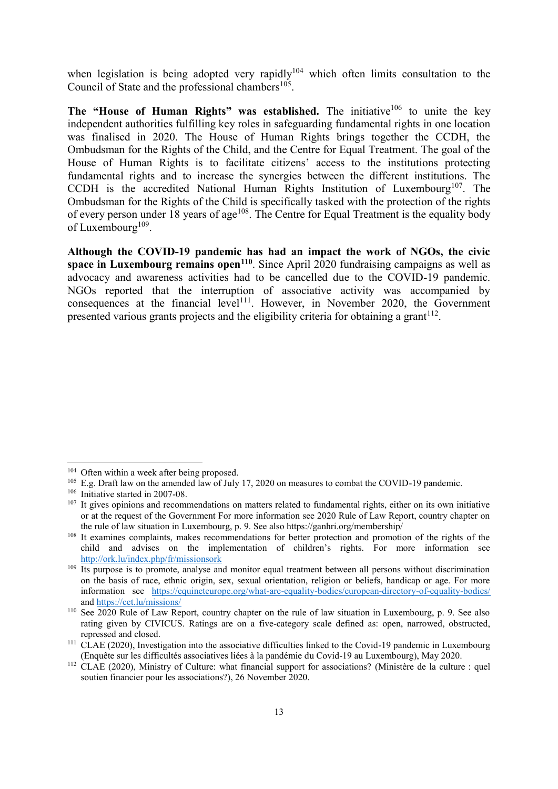when legislation is being adopted very rapidly<sup>104</sup> which often limits consultation to the Council of State and the professional chambers $^{105}$ .

**The "House of Human Rights" was established.** The initiative<sup>106</sup> to unite the key independent authorities fulfilling key roles in safeguarding fundamental rights in one location was finalised in 2020. The House of Human Rights brings together the CCDH, the Ombudsman for the Rights of the Child, and the Centre for Equal Treatment. The goal of the House of Human Rights is to facilitate citizens' access to the institutions protecting fundamental rights and to increase the synergies between the different institutions. The CCDH is the accredited National Human Rights Institution of Luxembourg<sup>107</sup>. The Ombudsman for the Rights of the Child is specifically tasked with the protection of the rights of every person under 18 years of age<sup>108</sup>. The Centre for Equal Treatment is the equality body of Luxembourg<sup>109</sup>.

**Although the COVID-19 pandemic has had an impact the work of NGOs, the civic space in Luxembourg remains open<sup>110</sup>**. Since April 2020 fundraising campaigns as well as advocacy and awareness activities had to be cancelled due to the COVID-19 pandemic. NGOs reported that the interruption of associative activity was accompanied by consequences at the financial level<sup>111</sup>. However, in November 2020, the Government presented various grants projects and the eligibility criteria for obtaining a grant<sup>112</sup>.

1

<sup>&</sup>lt;sup>104</sup> Often within a week after being proposed.

<sup>&</sup>lt;sup>105</sup> E.g. Draft law on the amended law of July 17, 2020 on measures to combat the COVID-19 pandemic.

<sup>&</sup>lt;sup>106</sup> Initiative started in 2007-08.

 $107$  It gives opinions and recommendations on matters related to fundamental rights, either on its own initiative or at the request of the Government For more information see 2020 Rule of Law Report, country chapter on the rule of law situation in Luxembourg, p. 9. See also https://ganhri.org/membership/

<sup>&</sup>lt;sup>108</sup> It examines complaints, makes recommendations for better protection and promotion of the rights of the child and advises on the implementation of children's rights. For more information see <http://ork.lu/index.php/fr/missionsork>

<sup>&</sup>lt;sup>109</sup> Its purpose is to promote, analyse and monitor equal treatment between all persons without discrimination on the basis of race, ethnic origin, sex, sexual orientation, religion or beliefs, handicap or age. For more information see <https://equineteurope.org/what-are-equality-bodies/european-directory-of-equality-bodies/> and<https://cet.lu/missions/>

<sup>&</sup>lt;sup>110</sup> See 2020 Rule of Law Report, country chapter on the rule of law situation in Luxembourg, p. 9. See also rating given by CIVICUS. Ratings are on a five-category scale defined as: open, narrowed, obstructed, repressed and closed.

<sup>&</sup>lt;sup>111</sup> CLAE (2020), Investigation into the associative difficulties linked to the Covid-19 pandemic in Luxembourg (Enquête sur les difficultés associatives liées à la pandémie du Covid-19 au Luxembourg), May 2020.

<sup>&</sup>lt;sup>112</sup> CLAE (2020), Ministry of Culture: what financial support for associations? (Ministère de la culture : quel soutien financier pour les associations?), 26 November 2020.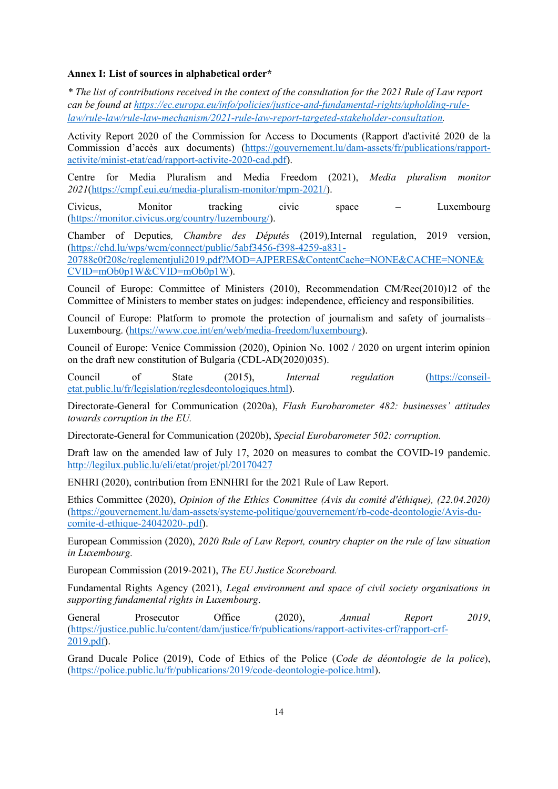#### **Annex I: List of sources in alphabetical order\***

*\* The list of contributions received in the context of the consultation for the 2021 Rule of Law report can be found at [https://ec.europa.eu/info/policies/justice-and-fundamental-rights/upholding-rule](https://ec.europa.eu/info/policies/justice-and-fundamental-rights/upholding-rule-law/rule-law/rule-law-mechanism/2021-rule-law-report-targeted-stakeholder-consultation)[law/rule-law/rule-law-mechanism/2021-rule-law-report-targeted-stakeholder-consultation.](https://ec.europa.eu/info/policies/justice-and-fundamental-rights/upholding-rule-law/rule-law/rule-law-mechanism/2021-rule-law-report-targeted-stakeholder-consultation)*

Activity Report 2020 of the Commission for Access to Documents (Rapport d'activité 2020 de la Commission d'accès aux documents) ([https://gouvernement.lu/dam-assets/fr/publications/rapport](https://gouvernement.lu/dam-assets/fr/publications/rapport-activite/minist-etat/cad/rapport-activite-2020-cad.pdf)[activite/minist-etat/cad/rapport-activite-2020-cad.pdf\)](https://gouvernement.lu/dam-assets/fr/publications/rapport-activite/minist-etat/cad/rapport-activite-2020-cad.pdf).

Centre for Media Pluralism and Media Freedom (2021), *Media pluralism monitor 2021*[\(https://cmpf.eui.eu/media-pluralism-monitor/mpm-2021/\)](https://cmpf.eui.eu/media-pluralism-monitor/mpm-2021/).

Civicus, Monitor tracking civic space – Luxembourg [\(https://monitor.civicus.org/country/luzembourg/\)](https://monitor.civicus.org/country/luzembourg/).

Chamber of Deputies*, Chambre des Députés* (2019)*,*Internal regulation, 2019 version, [\(https://chd.lu/wps/wcm/connect/public/5abf3456-f398-4259-a831-](https://chd.lu/wps/wcm/connect/public/5abf3456-f398-4259-a831-20788c0f208c/reglementjuli2019.pdf?MOD=AJPERES&ContentCache=NONE&CACHE=NONE&CVID=mOb0p1W&CVID=mOb0p1W) [20788c0f208c/reglementjuli2019.pdf?MOD=AJPERES&ContentCache=NONE&CACHE=NONE&](https://chd.lu/wps/wcm/connect/public/5abf3456-f398-4259-a831-20788c0f208c/reglementjuli2019.pdf?MOD=AJPERES&ContentCache=NONE&CACHE=NONE&CVID=mOb0p1W&CVID=mOb0p1W) [CVID=mOb0p1W&CVID=mOb0p1W\)](https://chd.lu/wps/wcm/connect/public/5abf3456-f398-4259-a831-20788c0f208c/reglementjuli2019.pdf?MOD=AJPERES&ContentCache=NONE&CACHE=NONE&CVID=mOb0p1W&CVID=mOb0p1W).

Council of Europe: Committee of Ministers (2010), Recommendation CM/Rec(2010)12 of the Committee of Ministers to member states on judges: independence, efficiency and responsibilities.

Council of Europe: Platform to promote the protection of journalism and safety of journalists– Luxembourg. [\(https://www.coe.int/en/web/media-freedom/luxembourg\)](https://www.coe.int/en/web/media-freedom/luxembourg).

Council of Europe: Venice Commission (2020), Opinion No. 1002 / 2020 on urgent interim opinion on the draft new constitution of Bulgaria (CDL-AD(2020)035).

Council of State (2015), *Internal regulation* [\(https://conseil](https://conseil-etat.public.lu/fr/legislation/reglesdeontologiques.html)[etat.public.lu/fr/legislation/reglesdeontologiques.html\)](https://conseil-etat.public.lu/fr/legislation/reglesdeontologiques.html).

Directorate-General for Communication (2020a), *Flash Eurobarometer 482: businesses' attitudes towards corruption in the EU.*

Directorate-General for Communication (2020b), *Special Eurobarometer 502: corruption.*

Draft law on the amended law of July 17, 2020 on measures to combat the COVID-19 pandemic. <http://legilux.public.lu/eli/etat/projet/pl/20170427>

ENHRI (2020), contribution from ENNHRI for the 2021 Rule of Law Report.

Ethics Committee (2020), *Opinion of the Ethics Committee (Avis du comité d'éthique), (22.04.2020)*  [\(https://gouvernement.lu/dam-assets/systeme-politique/gouvernement/rb-code-deontologie/Avis-du](https://gouvernement.lu/dam-assets/systeme-politique/gouvernement/rb-code-deontologie/Avis-du-comite-d-ethique-24042020-.pdf)[comite-d-ethique-24042020-.pdf\)](https://gouvernement.lu/dam-assets/systeme-politique/gouvernement/rb-code-deontologie/Avis-du-comite-d-ethique-24042020-.pdf).

European Commission (2020), *2020 Rule of Law Report, country chapter on the rule of law situation in Luxembourg.*

European Commission (2019-2021), *The EU Justice Scoreboard.*

Fundamental Rights Agency (2021), *Legal environment and space of civil society organisations in supporting fundamental rights in Luxembourg*.

General Prosecutor Office (2020), *Annual Report 2019*, [\(https://justice.public.lu/content/dam/justice/fr/publications/rapport-activites-crf/rapport-crf-](https://justice.public.lu/content/dam/justice/fr/publications/rapport-activites-crf/rapport-crf-2019.pdf)[2019.pdf\)](https://justice.public.lu/content/dam/justice/fr/publications/rapport-activites-crf/rapport-crf-2019.pdf).

Grand Ducale Police (2019), Code of Ethics of the Police (*Code de déontologie de la police*), [\(https://police.public.lu/fr/publications/2019/code-deontologie-police.html\)](https://police.public.lu/fr/publications/2019/code-deontologie-police.html).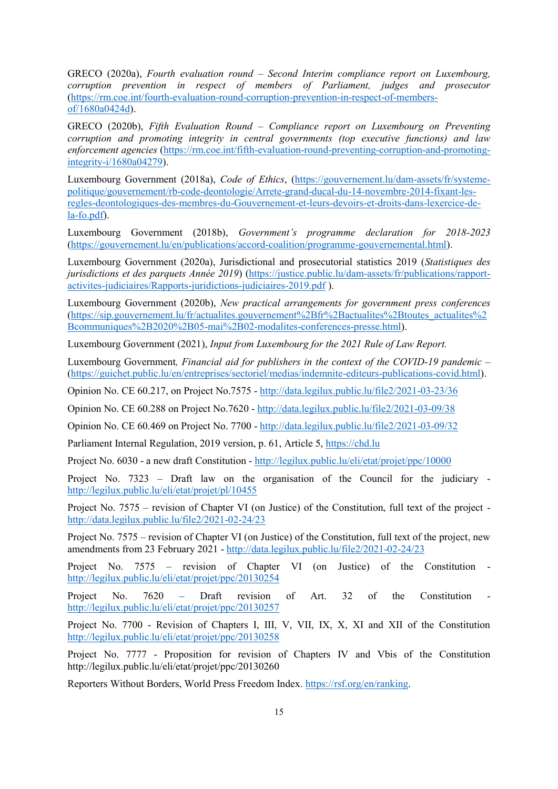GRECO (2020a), *Fourth evaluation round – Second Interim compliance report on Luxembourg, corruption prevention in respect of members of Parliament, judges and prosecutor* [\(https://rm.coe.int/fourth-evaluation-round-corruption-prevention-in-respect-of-members](https://rm.coe.int/fourth-evaluation-round-corruption-prevention-in-respect-of-members-of/1680a0424d)[of/1680a0424d\)](https://rm.coe.int/fourth-evaluation-round-corruption-prevention-in-respect-of-members-of/1680a0424d).

GRECO (2020b), *Fifth Evaluation Round – Compliance report on Luxembourg on Preventing corruption and promoting integrity in central governments (top executive functions) and law enforcement agencies* [\(https://rm.coe.int/fifth-evaluation-round-preventing-corruption-and-promoting](https://rm.coe.int/fifth-evaluation-round-preventing-corruption-and-promoting-integrity-i/1680a04279)[integrity-i/1680a04279\)](https://rm.coe.int/fifth-evaluation-round-preventing-corruption-and-promoting-integrity-i/1680a04279).

Luxembourg Government (2018a), *Code of Ethics*, [\(https://gouvernement.lu/dam-assets/fr/systeme](https://gouvernement.lu/dam-assets/fr/systeme-politique/gouvernement/rb-code-deontologie/Arrete-grand-ducal-du-14-novembre-2014-fixant-les-regles-deontologiques-des-membres-du-Gouvernement-et-leurs-devoirs-et-droits-dans-lexercice-de-la-fo.pdf)[politique/gouvernement/rb-code-deontologie/Arrete-grand-ducal-du-14-novembre-2014-fixant-les](https://gouvernement.lu/dam-assets/fr/systeme-politique/gouvernement/rb-code-deontologie/Arrete-grand-ducal-du-14-novembre-2014-fixant-les-regles-deontologiques-des-membres-du-Gouvernement-et-leurs-devoirs-et-droits-dans-lexercice-de-la-fo.pdf)[regles-deontologiques-des-membres-du-Gouvernement-et-leurs-devoirs-et-droits-dans-lexercice-de](https://gouvernement.lu/dam-assets/fr/systeme-politique/gouvernement/rb-code-deontologie/Arrete-grand-ducal-du-14-novembre-2014-fixant-les-regles-deontologiques-des-membres-du-Gouvernement-et-leurs-devoirs-et-droits-dans-lexercice-de-la-fo.pdf)[la-fo.pdf\)](https://gouvernement.lu/dam-assets/fr/systeme-politique/gouvernement/rb-code-deontologie/Arrete-grand-ducal-du-14-novembre-2014-fixant-les-regles-deontologiques-des-membres-du-Gouvernement-et-leurs-devoirs-et-droits-dans-lexercice-de-la-fo.pdf).

Luxembourg Government (2018b), *Government's programme declaration for 2018-2023* [\(https://gouvernement.lu/en/publications/accord-coalition/programme-gouvernemental.html\)](https://gouvernement.lu/en/publications/accord-coalition/programme-gouvernemental.html).

Luxembourg Government (2020a), Jurisdictional and prosecutorial statistics 2019 (*Statistiques des jurisdictions et des parquets Année 2019*) [\(https://justice.public.lu/dam-assets/fr/publications/rapport](https://justice.public.lu/dam-assets/fr/publications/rapport-activites-judiciaires/Rapports-juridictions-judiciaires-2019.pdf)[activites-judiciaires/Rapports-juridictions-judiciaires-2019.pdf](https://justice.public.lu/dam-assets/fr/publications/rapport-activites-judiciaires/Rapports-juridictions-judiciaires-2019.pdf) ).

Luxembourg Government (2020b), *New practical arrangements for government press conferences* [\(https://sip.gouvernement.lu/fr/actualites.gouvernement%2Bfr%2Bactualites%2Btoutes\\_actualites%2](https://sip.gouvernement.lu/fr/actualites.gouvernement%2Bfr%2Bactualites%2Btoutes_actualites%2Bcommuniques%2B2020%2B05-mai%2B02-modalites-conferences-presse.html) [Bcommuniques%2B2020%2B05-mai%2B02-modalites-conferences-presse.html\)](https://sip.gouvernement.lu/fr/actualites.gouvernement%2Bfr%2Bactualites%2Btoutes_actualites%2Bcommuniques%2B2020%2B05-mai%2B02-modalites-conferences-presse.html).

Luxembourg Government (2021), *Input from Luxembourg for the 2021 Rule of Law Report.*

Luxembourg Government*, Financial aid for publishers in the context of the COVID-19 pandemic –* [\(https://guichet.public.lu/en/entreprises/sectoriel/medias/indemnite-editeurs-publications-covid.html\)](https://guichet.public.lu/en/entreprises/sectoriel/medias/indemnite-editeurs-publications-covid.html).

Opinion No. CE 60.217, on Project No.7575 - <http://data.legilux.public.lu/file2/2021-03-23/36>

Opinion No. CE 60.288 on Project No.7620 - <http://data.legilux.public.lu/file2/2021-03-09/38>

Opinion No. CE 60.469 on Project No. 7700 - <http://data.legilux.public.lu/file2/2021-03-09/32>

Parliament Internal Regulation, 2019 version, p. 61, Article 5, [https://chd.lu](https://chd.lu/)

Project No. 6030 - a new draft Constitution - <http://legilux.public.lu/eli/etat/projet/ppc/10000>

Project No. 7323 – Draft law on the organisation of the Council for the judiciary <http://legilux.public.lu/eli/etat/projet/pl/10455>

Project No. 7575 – revision of Chapter VI (on Justice) of the Constitution, full text of the project <http://data.legilux.public.lu/file2/2021-02-24/23>

Project No. 7575 – revision of Chapter VI (on Justice) of the Constitution, full text of the project, new amendments from 23 February 2021 - <http://data.legilux.public.lu/file2/2021-02-24/23>

Project No. 7575 – revision of Chapter VI (on Justice) of the Constitution <http://legilux.public.lu/eli/etat/projet/ppc/20130254>

Project No. 7620 – Draft revision of Art. 32 of the Constitution <http://legilux.public.lu/eli/etat/projet/ppc/20130257>

Project No. 7700 - Revision of Chapters I, III, V, VII, IX, X, XI and XII of the Constitution <http://legilux.public.lu/eli/etat/projet/ppc/20130258>

Project No. 7777 - Proposition for revision of Chapters IV and Vbis of the Constitution http://legilux.public.lu/eli/etat/projet/ppc/20130260

Reporters Without Borders, World Press Freedom Index. [https://rsf.org/en/ranking.](https://rsf.org/en/ranking)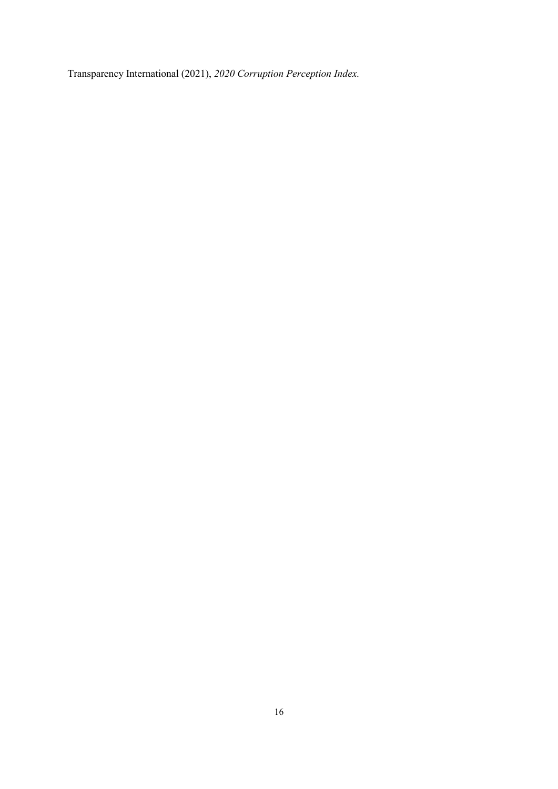Transparency International (2021), *2020 Corruption Perception Index.*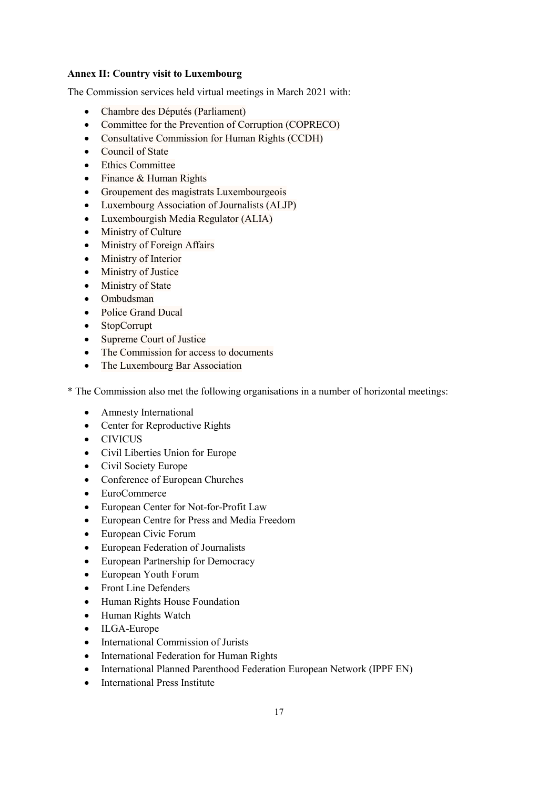## **Annex II: Country visit to Luxembourg**

The Commission services held virtual meetings in March 2021 with:

- Chambre des Députés (Parliament)
- Committee for the Prevention of Corruption (COPRECO)
- Consultative Commission for Human Rights (CCDH)
- Council of State
- Ethics Committee
- Finance & Human Rights
- Groupement des magistrats Luxembourgeois
- Luxembourg Association of Journalists (ALJP)
- Luxembourgish Media Regulator (ALIA)
- Ministry of Culture
- Ministry of Foreign Affairs
- Ministry of Interior
- Ministry of Justice
- Ministry of State
- Ombudsman
- Police Grand Ducal
- StopCorrupt
- Supreme Court of Justice
- The Commission for access to documents
- The Luxembourg Bar Association

\* The Commission also met the following organisations in a number of horizontal meetings:

- Amnesty International
- Center for Reproductive Rights
- CIVICUS
- Civil Liberties Union for Europe
- Civil Society Europe
- Conference of European Churches
- EuroCommerce
- European Center for Not-for-Profit Law
- European Centre for Press and Media Freedom
- European Civic Forum
- European Federation of Journalists
- European Partnership for Democracy
- European Youth Forum
- Front Line Defenders
- Human Rights House Foundation
- Human Rights Watch
- ILGA-Europe
- International Commission of Jurists
- International Federation for Human Rights
- International Planned Parenthood Federation European Network (IPPF EN)
- International Press Institute